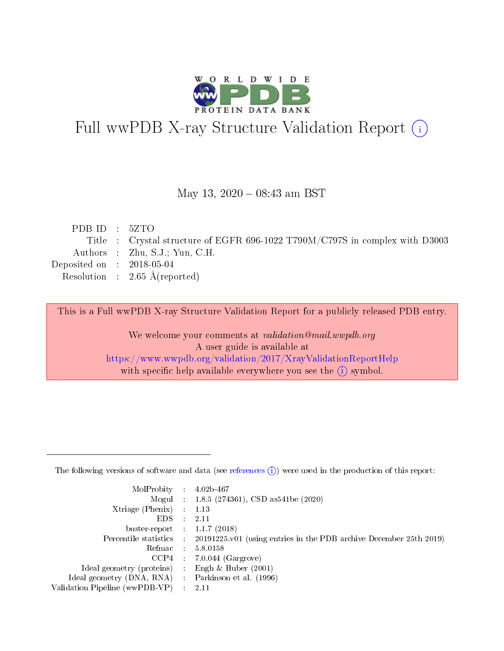

# Full wwPDB X-ray Structure Validation Report (i)

#### May 13,  $2020 - 08:43$  am BST

| PDBID : 5ZTO                |                                                                              |
|-----------------------------|------------------------------------------------------------------------------|
|                             | Title : Crystal structure of EGFR 696-1022 T790M/C797S in complex with D3003 |
|                             | Authors : Zhu, S.J.; Yun, C.H.                                               |
| Deposited on : $2018-05-04$ |                                                                              |
|                             | Resolution : $2.65 \text{ Å}$ (reported)                                     |
|                             |                                                                              |

This is a Full wwPDB X-ray Structure Validation Report for a publicly released PDB entry.

We welcome your comments at validation@mail.wwpdb.org A user guide is available at <https://www.wwpdb.org/validation/2017/XrayValidationReportHelp> with specific help available everywhere you see the  $(i)$  symbol.

The following versions of software and data (see [references](https://www.wwpdb.org/validation/2017/XrayValidationReportHelp#references)  $(1)$ ) were used in the production of this report:

| MolProbity :                   |               | $4.02b - 467$                                                               |
|--------------------------------|---------------|-----------------------------------------------------------------------------|
|                                |               | Mogul : $1.8.5$ (274361), CSD as 541be (2020)                               |
| $X$ triage (Phenix) :          |               | 1.13                                                                        |
| EDS.                           |               | 2.11                                                                        |
| buster-report : $1.1.7$ (2018) |               |                                                                             |
| Percentile statistics :        |               | $20191225 \text{v}01$ (using entries in the PDB archive December 25th 2019) |
| Refmac :                       |               | 5.8.0158                                                                    |
| $CCP4$ :                       |               | $7.0.044$ (Gargrove)                                                        |
| Ideal geometry (proteins) :    |               | Engh $\&$ Huber (2001)                                                      |
| Ideal geometry (DNA, RNA) :    |               | Parkinson et al. (1996)                                                     |
| Validation Pipeline (wwPDB-VP) | $\mathcal{L}$ | 2.11                                                                        |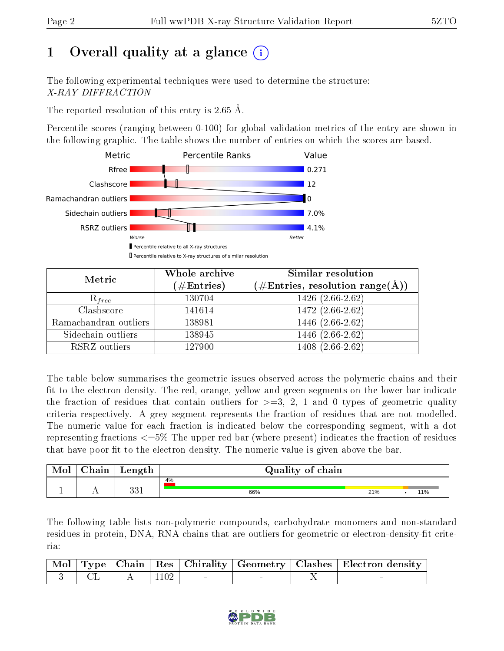# 1 [O](https://www.wwpdb.org/validation/2017/XrayValidationReportHelp#overall_quality)verall quality at a glance  $(i)$

The following experimental techniques were used to determine the structure: X-RAY DIFFRACTION

The reported resolution of this entry is 2.65 Å.

Percentile scores (ranging between 0-100) for global validation metrics of the entry are shown in the following graphic. The table shows the number of entries on which the scores are based.



| Metric                | Whole archive<br>$(\#\mathrm{Entries})$ | Similar resolution<br>$(\#\text{Entries}, \text{resolution range}(\textup{\AA}))$ |
|-----------------------|-----------------------------------------|-----------------------------------------------------------------------------------|
| $R_{free}$            | 130704                                  | 1426 (2.66-2.62)                                                                  |
| Clashscore            | 141614                                  | 1472 (2.66-2.62)                                                                  |
| Ramachandran outliers | 138981                                  | $1446(2.66-2.62)$                                                                 |
| Sidechain outliers    | 138945                                  | 1446 (2.66-2.62)                                                                  |
| RSRZ outliers         | 127900                                  | 1408 (2.66-2.62)                                                                  |

The table below summarises the geometric issues observed across the polymeric chains and their fit to the electron density. The red, orange, yellow and green segments on the lower bar indicate the fraction of residues that contain outliers for  $>=3, 2, 1$  and 0 types of geometric quality criteria respectively. A grey segment represents the fraction of residues that are not modelled. The numeric value for each fraction is indicated below the corresponding segment, with a dot representing fractions <=5% The upper red bar (where present) indicates the fraction of residues that have poor fit to the electron density. The numeric value is given above the bar.

| Mol | ${\bf Chain}$ | Length        | Quality of chain |     |  |     |  |
|-----|---------------|---------------|------------------|-----|--|-----|--|
|     |               |               | 4%               |     |  |     |  |
|     |               | າາ 1<br>∙JU ⊥ | 66%              | 21% |  | 11% |  |

The following table lists non-polymeric compounds, carbohydrate monomers and non-standard residues in protein, DNA, RNA chains that are outliers for geometric or electron-density-fit criteria:

|  |                                                                                           |  |  | Mol   Type   Chain   Res   Chirality   Geometry   Clashes   Electron density |
|--|-------------------------------------------------------------------------------------------|--|--|------------------------------------------------------------------------------|
|  | $\begin{array}{c cccc}\n1 & 3 & \vert & CL & \vert & A & \vert 1102 & \vert\n\end{array}$ |  |  |                                                                              |

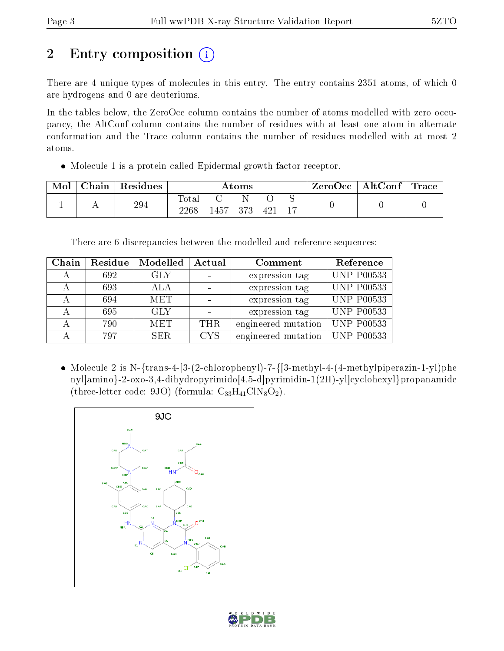# 2 Entry composition  $\left( \cdot \right)$

There are 4 unique types of molecules in this entry. The entry contains 2351 atoms, of which 0 are hydrogens and 0 are deuteriums.

In the tables below, the ZeroOcc column contains the number of atoms modelled with zero occupancy, the AltConf column contains the number of residues with at least one atom in alternate conformation and the Trace column contains the number of residues modelled with at most 2 atoms.

Molecule 1 is a protein called Epidermal growth factor receptor.

| Mol | Chain   Residues | Atoms               |        |       | $\mid$ ZeroOcc $\mid$ AltConf $\mid$ Trace $\mid$ |  |  |  |
|-----|------------------|---------------------|--------|-------|---------------------------------------------------|--|--|--|
|     | 294              | $\rm Total$<br>2268 | 1457 - | - 373 | 421                                               |  |  |  |

There are 6 discrepancies between the modelled and reference sequences:

| Chain | Residue | Modelled   | Actual     | Comment             | Reference               |
|-------|---------|------------|------------|---------------------|-------------------------|
|       | 692     | <b>GLY</b> |            | expression tag      | <b>UNP P00533</b>       |
|       | 693     | <b>ALA</b> |            | expression tag      | $\overline{UNP P00533}$ |
|       | 694     | <b>MET</b> |            | expression tag      | <b>UNP P00533</b>       |
|       | 695     | <b>GLY</b> |            | expression tag      | UNP $\overline{P00533}$ |
|       | 790     | <b>MET</b> | <b>THR</b> | engineered mutation | $\overline{UNP}$ P00533 |
|       | 797     | SER.       | <b>CYS</b> | engineered mutation | UNP P00533              |

• Molecule 2 is N-{trans-4-[3-(2-chlorophenyl)-7-{[3-methyl-4-(4-methylpiperazin-1-yl)phe nyl]amino}-2-oxo-3,4-dihydropyrimido[4,5-d]pyrimidin-1(2H)-yl]cyclohexyl}propanamide (three-letter code: 9JO) (formula:  $\rm{C}_{33}H_{41}CIN_8O_2$ ).



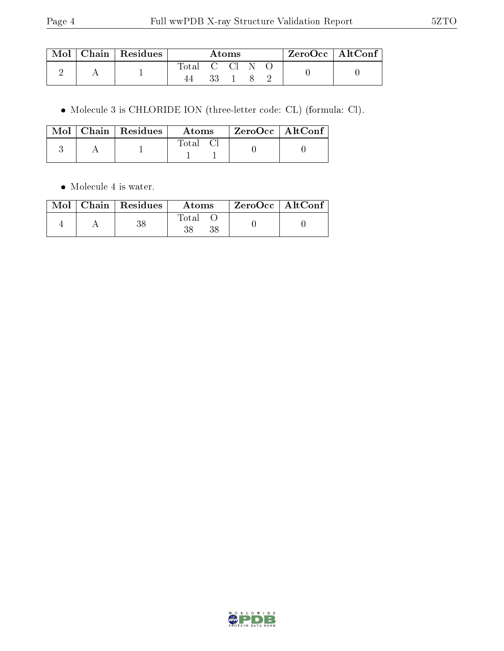| $\blacksquare$ Mol $\blacksquare$ | Chain   Residues | Atoms          |      |  |  |  | $ZeroOcc$   AltConf |  |
|-----------------------------------|------------------|----------------|------|--|--|--|---------------------|--|
|                                   |                  | Total C Cl N O |      |  |  |  |                     |  |
|                                   |                  |                | 33 - |  |  |  |                     |  |

Molecule 3 is CHLORIDE ION (three-letter code: CL) (formula: Cl).

|  | $\sqrt{\text{Mol}}$ Chain   Residues | – Atoms | $\vert$ ZeroOcc $\vert$ AltConf $\vert$ |  |
|--|--------------------------------------|---------|-----------------------------------------|--|
|  |                                      | Fotal   |                                         |  |

• Molecule 4 is water.

|  | $\text{Mol}$   Chain   Residues | Atoms | ZeroOcc   AltConf |
|--|---------------------------------|-------|-------------------|
|  | 90                              | Total |                   |

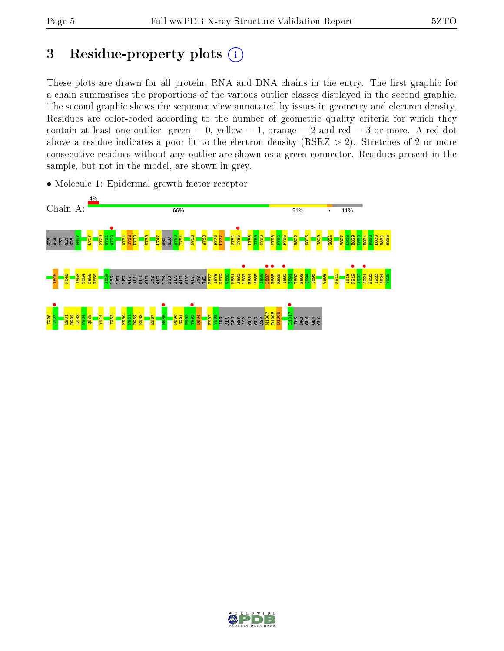# 3 Residue-property plots  $(i)$

These plots are drawn for all protein, RNA and DNA chains in the entry. The first graphic for a chain summarises the proportions of the various outlier classes displayed in the second graphic. The second graphic shows the sequence view annotated by issues in geometry and electron density. Residues are color-coded according to the number of geometric quality criteria for which they contain at least one outlier: green  $= 0$ , yellow  $= 1$ , orange  $= 2$  and red  $= 3$  or more. A red dot above a residue indicates a poor fit to the electron density (RSRZ  $> 2$ ). Stretches of 2 or more consecutive residues without any outlier are shown as a green connector. Residues present in the sample, but not in the model, are shown in grey.



• Molecule 1: Epidermal growth factor receptor

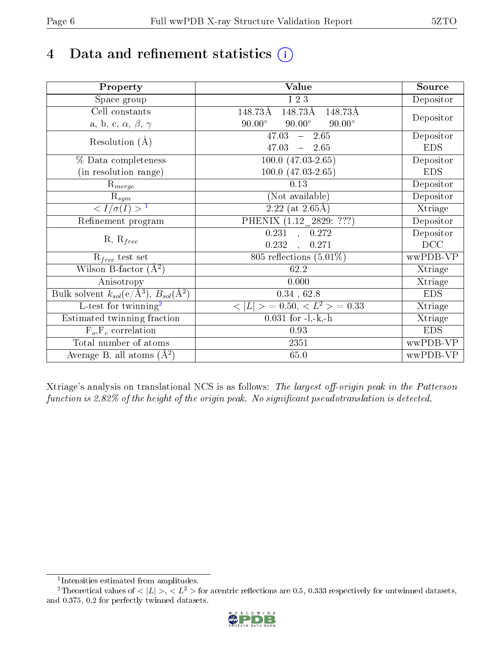# 4 Data and refinement statistics  $(i)$

| Property                                                             | Value                                           | Source     |
|----------------------------------------------------------------------|-------------------------------------------------|------------|
| Space group                                                          | I 2 3                                           | Depositor  |
| Cell constants                                                       | 148.73Å<br>148.73Å<br>148.73Å                   |            |
| a, b, c, $\alpha$ , $\beta$ , $\gamma$                               | $90.00^\circ$<br>$90.00^\circ$<br>$90.00^\circ$ | Depositor  |
| Resolution $(A)$                                                     | $-2.65$<br>47.03                                | Depositor  |
|                                                                      | 47.03<br>$-2.65$                                | <b>EDS</b> |
| % Data completeness                                                  | $100.0 (47.03 - 2.65)$                          | Depositor  |
| (in resolution range)                                                | $100.0 (47.03 - 2.65)$                          | <b>EDS</b> |
| $R_{merge}$                                                          | 0.13                                            | Depositor  |
| $\mathrm{R}_{sym}$                                                   | (Not available)                                 | Depositor  |
| $\sqrt{I/\sigma(I)} > 1$                                             | $2.22$ (at 2.65Å)                               | Xtriage    |
| Refinement program                                                   | PHENIX (1.12_2829: ???)                         | Depositor  |
|                                                                      | 0.231, 0.272                                    | Depositor  |
| $R, R_{free}$                                                        | 0.232<br>0.271<br>$\ddot{\phantom{a}}$          | DCC        |
| $\mathcal{R}_{free}$ test set                                        | 805 reflections $(5.01\%)$                      | wwPDB-VP   |
| Wilson B-factor $(A^2)$                                              | 62.2                                            | Xtriage    |
| Anisotropy                                                           | 0.000                                           | Xtriage    |
| Bulk solvent $k_{sol}(e/\mathring{A}^3)$ , $B_{sol}(\mathring{A}^2)$ | $0.34$ , 62.8                                   | <b>EDS</b> |
| L-test for twinning <sup>2</sup>                                     | $< L >$ = 0.50, $< L2$ = 0.33                   | Xtriage    |
| Estimated twinning fraction                                          | $0.031$ for $-l,-k,-h$                          | Xtriage    |
| $F_o, F_c$ correlation                                               | 0.93                                            | <b>EDS</b> |
| Total number of atoms                                                | 2351                                            | wwPDB-VP   |
| Average B, all atoms $(A^2)$                                         | 65.0                                            | wwPDB-VP   |

Xtriage's analysis on translational NCS is as follows: The largest off-origin peak in the Patterson function is 2.82% of the height of the origin peak. No significant pseudotranslation is detected.

<sup>&</sup>lt;sup>2</sup>Theoretical values of  $\langle |L| \rangle$ ,  $\langle L^2 \rangle$  for acentric reflections are 0.5, 0.333 respectively for untwinned datasets, and 0.375, 0.2 for perfectly twinned datasets.



<span id="page-5-1"></span><span id="page-5-0"></span><sup>1</sup> Intensities estimated from amplitudes.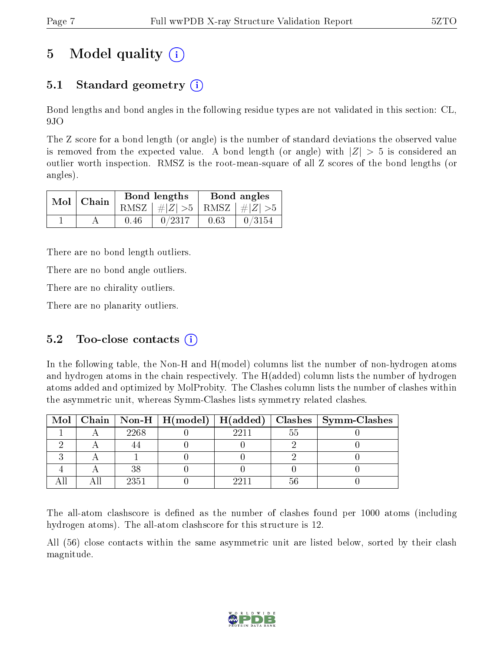# 5 Model quality  $(i)$

## 5.1 Standard geometry  $(i)$

Bond lengths and bond angles in the following residue types are not validated in this section: CL, 9JO

The Z score for a bond length (or angle) is the number of standard deviations the observed value is removed from the expected value. A bond length (or angle) with  $|Z| > 5$  is considered an outlier worth inspection. RMSZ is the root-mean-square of all Z scores of the bond lengths (or angles).

| $Mol$   Chain |      | Bond lengths                    | Bond angles |        |  |
|---------------|------|---------------------------------|-------------|--------|--|
|               |      | RMSZ $ #Z  > 5$ RMSZ $ #Z  > 5$ |             |        |  |
|               | 0.46 | 0/2317                          | 0.63        | 0/3154 |  |

There are no bond length outliers.

There are no bond angle outliers.

There are no chirality outliers.

There are no planarity outliers.

### 5.2 Too-close contacts  $(i)$

In the following table, the Non-H and H(model) columns list the number of non-hydrogen atoms and hydrogen atoms in the chain respectively. The H(added) column lists the number of hydrogen atoms added and optimized by MolProbity. The Clashes column lists the number of clashes within the asymmetric unit, whereas Symm-Clashes lists symmetry related clashes.

|  |      |      |     | Mol   Chain   Non-H   H(model)   H(added)   Clashes   Symm-Clashes |
|--|------|------|-----|--------------------------------------------------------------------|
|  | 2268 | 9911 | .hh |                                                                    |
|  |      |      |     |                                                                    |
|  |      |      |     |                                                                    |
|  | 38   |      |     |                                                                    |
|  | 2351 |      |     |                                                                    |

The all-atom clashscore is defined as the number of clashes found per 1000 atoms (including hydrogen atoms). The all-atom clashscore for this structure is 12.

All (56) close contacts within the same asymmetric unit are listed below, sorted by their clash magnitude.

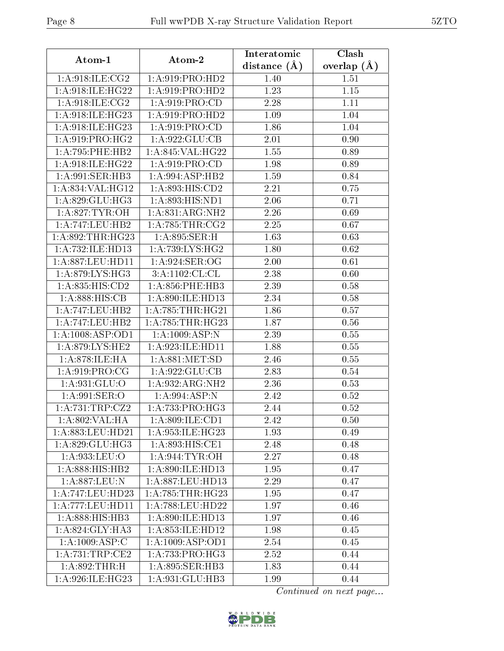| Atom-1                          | Atom-2              | Interatomic      | Clash           |
|---------------------------------|---------------------|------------------|-----------------|
|                                 |                     | distance $(\AA)$ | overlap $(\AA)$ |
| $1: A:918: ILE: \overline{CG2}$ | 1: A:919: PRO:HD2   | 1.40             | 1.51            |
| 1: A:918: ILE: HG22             | 1: A:919: PRO:HD2   | 1.23             | 1.15            |
| 1: A:918: ILE: CG2              | 1: A:919: PRO:CD    | 2.28             | 1.11            |
| 1:A:918:ILE:HG23                | 1: A:919: PRO:HD2   | 1.09             | 1.04            |
| 1: A:918: ILE: HG23             | 1: A:919: PRO:CD    | 1.86             | 1.04            |
| 1: A:919: PRO:HG2               | 1:A:922:GLU:CB      | 2.01             | 0.90            |
| 1:A:795:PHE:HB2                 | 1:A:845:VAL:HG22    | 1.55             | 0.89            |
| 1:A:918:ILE:HG22                | 1: A:919: PRO:CD    | 1.98             | 0.89            |
| 1: A:991: SER: HB3              | 1:A:994:ASP:HB2     | 1.59             | 0.84            |
| 1:A:834:VAL:HG12                | 1:A:893:HIS:CD2     | 2.21             | 0.75            |
| 1: A:829: GLU:HG3               | 1: A:893: HIS: ND1  | 2.06             | 0.71            |
| 1: A:827:TYR:OH                 | 1:A:831:ARG:NH2     | 2.26             | 0.69            |
| 1: A:747:LEU:HB2                | 1: A:785:THR:CG2    | 2.25             | 0.67            |
| 1: A:892:THR:HG23               | 1:A:895:SER:H       | 1.63             | 0.63            |
| 1: A:732: ILE: HD13             | 1:A:739:LYS:HG2     | 1.80             | 0.62            |
| 1: A:887:LEU:HD11               | 1: A:924: SER:OG    | 2.00             | 0.61            |
| 1: A:879: LYS: HG3              | 3:A:1102:CL:CL      | 2.38             | 0.60            |
| 1:A:835:HIS:CD2                 | 1: A:856:PHE:HB3    | 2.39             | 0.58            |
| 1:A:888:HIS:CB                  | 1:A:890:ILE:HD13    | 2.34             | 0.58            |
| 1:A:747:LEU:HB2                 | 1: A:785:THR:HG21   | 1.86             | 0.57            |
| 1:A:747:LEU:HB2                 | 1: A:785:THR:HG23   | 1.87             | 0.56            |
| 1:A:1008:ASP:OD1                | 1:A:1009:ASP:N      | 2.39             | 0.55            |
| 1: A:879: LYS: HE2              | 1: A:923: ILE: HD11 | 1.88             | 0.55            |
| 1: A:878: ILE: HA               | 1: A:881: MET:SD    | 2.46             | 0.55            |
| 1:A:919:PRO:CG                  | 1:A:922:GLU:CB      | 2.83             | 0.54            |
| 1: A:931: GLU:O                 | 1:A:932:ARG:NH2     | 2.36             | 0.53            |
| 1: A:991: SER:O                 | 1: A:994: ASP: N    | 2.42             | 0.52            |
| 1:A:731:TRP:CZ2                 | 1:A:733:PRO:HG3     | 2.44             | 0.52            |
| 1:A:802:VAL:HA                  | 1:A:809:ILE:CD1     | 2.42             | 0.50            |
| $1:A:883:L\overline{EU:HD21}$   | 1:A:953:ILE:HG23    | 1.93             | 0.49            |
| 1: A:829: GLU:HG3               | 1:A:893:HIS:CE1     | 2.48             | 0.48            |
| 1:A:933:LEU:O                   | 1: A:944: TYR: OH   | 2.27             | 0.48            |
| 1: A: 888: HIS: HB2             | 1: A:890: ILE: HD13 | 1.95             | 0.47            |
| 1:A:887:LEU:N                   | 1: A:887:LEU:HD13   | 2.29             | 0.47            |
| 1: A:747:LEU:HD23               | 1: A:785:THR:HG23   | 1.95             | 0.47            |
| 1: A:777:LEU:HD11               | 1: A:788:LEU:HD22   | 1.97             | 0.46            |
| 1:A:888:HIS:HB3                 | 1:A:890:ILE:HD13    | 1.97             | 0.46            |
| 1: A:824: GLY:HA3               | 1: A:853: ILE: HD12 | 1.98             | 0.45            |
| 1:A:1009:ASP:C                  | 1:A:1009:ASP:OD1    | 2.54             | 0.45            |
| 1:A:731:TRP:CE2                 | 1:A:733:PRO:HG3     | 2.52             | 0.44            |
| 1:A:892:THR:H                   | 1: A:895: SER:HB3   | 1.83             | 0.44            |
| 1:A:926:ILE:HG23                | 1:A:931:GLU:HB3     | 1.99             | 0.44            |

Continued on next page...

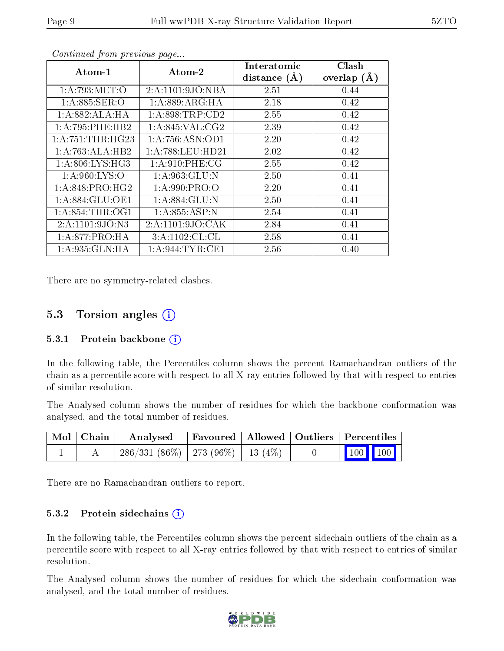| Atom-1              | Atom-2               | Interatomic    | Clash         |
|---------------------|----------------------|----------------|---------------|
|                     |                      | distance $(A)$ | overlap $(A)$ |
| 1: A:793:MET:O      | 2:A:1101:9JO:NBA     | 2.51           | 0.44          |
| 1: A:885: SER:O     | 1: A:889: ARG: HA    | 2.18           | 0.42          |
| 1: A:882: ALA:HA    | 1: A:898:TRP:CD2     | 2.55           | 0.42          |
| 1:A:795:PHE:HB2     | 1: A:845: VAL:CG2    | 2.39           | 0.42          |
| 1: A: 751: THE:HG23 | 1: A:756: ASN:OD1    | 2.20           | 0.42          |
| 1:A:763:ALA:HB2     | 1: A:788:LEU:HD21    | 2.02           | 0.42          |
| 1: A:806: LYS: HG3  | 1: A:910: PHE:CG     | 2.55           | 0.42          |
| 1: A:960: LYS:O     | 1: A:963: GLU:N      | 2.50           | 0.41          |
| 1: A:848: PRO:HG2   | 1: A:990: PRO:O      | 2.20           | 0.41          |
| 1: A:884: GLU:OE1   | 1:A:884:GLU:N        | 2.50           | 0.41          |
| 1: A:854:THR:OG1    | 1:A:855:ASP:N        | 2.54           | 0.41          |
| 2:A:1101:9JO:N3     | 2: A: 1101: 9JO: CAK | 2.84           | 0.41          |
| 1:A:877:PRO:HA      | 3:A:1102:CL:CL       | 2.58           | 0.41          |
| 1: A:935: GLN: HA   | 1: A:944:TYR:CE1     | 2.56           | 0.40          |

Continued from previous page...

There are no symmetry-related clashes.

### 5.3 Torsion angles (i)

#### 5.3.1 Protein backbone  $(i)$

In the following table, the Percentiles column shows the percent Ramachandran outliers of the chain as a percentile score with respect to all X-ray entries followed by that with respect to entries of similar resolution.

The Analysed column shows the number of residues for which the backbone conformation was analysed, and the total number of residues.

| Mol   Chain | $\boldsymbol{\mathrm{Analysed}}$        | Favoured   Allowed   Outliers   Percentiles |  |                                                          |
|-------------|-----------------------------------------|---------------------------------------------|--|----------------------------------------------------------|
|             | $286/331(86\%)$   273 (96\%)   13 (4\%) |                                             |  | $\begin{array}{ c c c }\n\hline\n100 & 100\n\end{array}$ |

There are no Ramachandran outliers to report.

#### 5.3.2 Protein sidechains  $(i)$

In the following table, the Percentiles column shows the percent sidechain outliers of the chain as a percentile score with respect to all X-ray entries followed by that with respect to entries of similar resolution.

The Analysed column shows the number of residues for which the sidechain conformation was analysed, and the total number of residues.

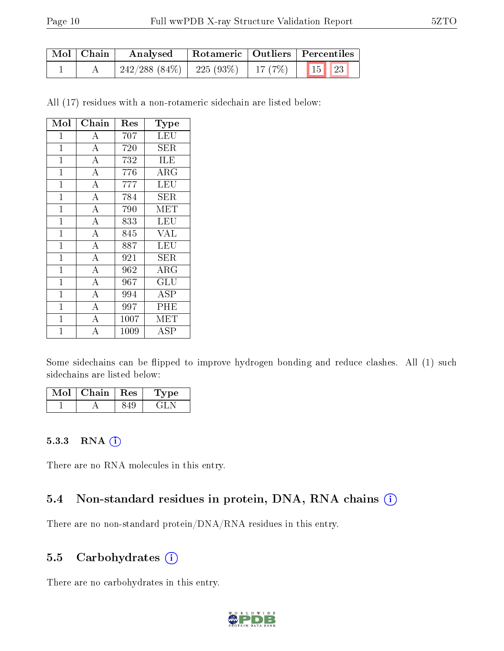| Mol   Chain | Analysed                                           |  | Rotameric   Outliers   Percentiles |  |
|-------------|----------------------------------------------------|--|------------------------------------|--|
|             | $242/288$ (84\%)   225 (93\%)   17 (7\%)   15   23 |  |                                    |  |

All (17) residues with a non-rotameric sidechain are listed below:

| Mol            | Chain              | $\operatorname{Res}% \left( \mathcal{N}\right) \equiv\operatorname{Res}(\mathcal{N}_{0})\cap\mathcal{N}_{1}$ | <b>Type</b>                    |
|----------------|--------------------|--------------------------------------------------------------------------------------------------------------|--------------------------------|
| $\overline{1}$ | А                  | 707                                                                                                          | LEU                            |
| $\mathbf{1}$   | $\overline{A}$     | 720                                                                                                          | <b>SER</b>                     |
| $\mathbf{1}$   | $\overline{\rm A}$ | 732                                                                                                          | ILE                            |
| $\mathbf 1$    | $\overline{A}$     | 776                                                                                                          | ARG                            |
| $\mathbf 1$    | $\overline{\rm A}$ | 777                                                                                                          | LEU                            |
| $\mathbf{1}$   | $\overline{\rm A}$ | 784                                                                                                          | <b>SER</b>                     |
| $\mathbf{1}$   | $\overline{\rm A}$ | 790                                                                                                          | MET                            |
| $\mathbf 1$    | $\overline{A}$     | 833                                                                                                          | LEU                            |
| $\mathbf{1}$   | $\bf{A}$           | 845                                                                                                          | <b>VAL</b>                     |
| $\overline{1}$ | $\overline{\rm A}$ | 887                                                                                                          | LEU                            |
| $\mathbf 1$    | $\overline{A}$     | 921                                                                                                          | ${\rm SER}$                    |
| $\mathbf 1$    | $\overline{\rm A}$ | 962                                                                                                          | $\overline{\text{A}}\text{RG}$ |
| $\mathbf{1}$   | $\overline{A}$     | 967                                                                                                          | $\overline{\mathrm{GLU}}$      |
| $\overline{1}$ | $\overline{\rm A}$ | 994                                                                                                          | <b>ASP</b>                     |
| $\overline{1}$ | $\overline{\rm A}$ | 997                                                                                                          | PHE                            |
| 1              | $\overline{A}$     | 1007                                                                                                         | $\operatorname{MET}$           |
| 1              | А                  | 1009                                                                                                         | ASP                            |

Some sidechains can be flipped to improve hydrogen bonding and reduce clashes. All (1) such sidechains are listed below:

| Mol | Chain   Res |     | 'Type |
|-----|-------------|-----|-------|
|     |             | 849 |       |

#### 5.3.3 RNA (i)

There are no RNA molecules in this entry.

#### 5.4 Non-standard residues in protein, DNA, RNA chains (i)

There are no non-standard protein/DNA/RNA residues in this entry.

#### 5.5 Carbohydrates (i)

There are no carbohydrates in this entry.

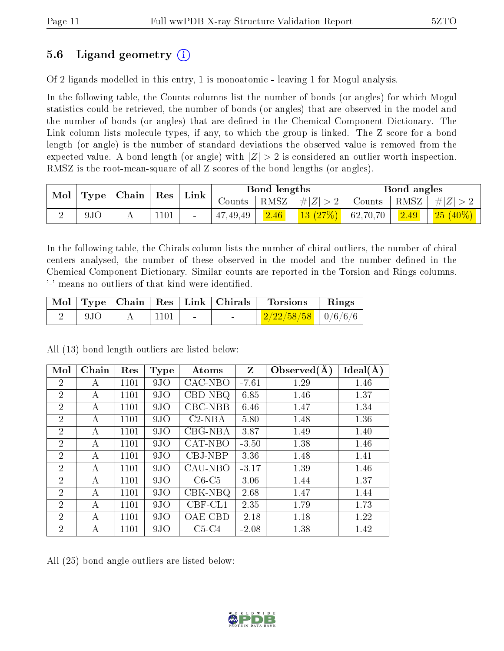### 5.6 Ligand geometry (i)

Of 2 ligands modelled in this entry, 1 is monoatomic - leaving 1 for Mogul analysis.

In the following table, the Counts columns list the number of bonds (or angles) for which Mogul statistics could be retrieved, the number of bonds (or angles) that are observed in the model and the number of bonds (or angles) that are defined in the Chemical Component Dictionary. The Link column lists molecule types, if any, to which the group is linked. The Z score for a bond length (or angle) is the number of standard deviations the observed value is removed from the expected value. A bond length (or angle) with  $|Z| > 2$  is considered an outlier worth inspection. RMSZ is the root-mean-square of all Z scores of the bond lengths (or angles).

| Mol | Type | $\mid$ Chain $\mid$ | $\operatorname{Res}$ | $\perp$ Link             |                              | <b>Bond lengths</b> |                 |          | Bond angles    |            |
|-----|------|---------------------|----------------------|--------------------------|------------------------------|---------------------|-----------------|----------|----------------|------------|
|     |      |                     |                      |                          | $\sqrt{\rm \textit{counts}}$ | RMSZ                | $\pm  Z  > 2$ . | Counts   | $+$ RMSZ $+$   | Z ><br>-#1 |
|     | 9JC  |                     | .101                 | $\overline{\phantom{0}}$ | 47,49,49                     | 2.46                | 13(27%)         | 62,70,70 | $\boxed{2.49}$ | $25(40\%)$ |

In the following table, the Chirals column lists the number of chiral outliers, the number of chiral centers analysed, the number of these observed in the model and the number defined in the Chemical Component Dictionary. Similar counts are reported in the Torsion and Rings columns. '-' means no outliers of that kind were identified.

|             |            |        | $\mid$ Mol $\mid$ Type $\mid$ Chain $\mid$ Res $\mid$ Link $\mid$ Chirals $\mid$ Torsions | $\mathbf{Rings}$ |
|-------------|------------|--------|-------------------------------------------------------------------------------------------|------------------|
| $\vert$ 9JO | $\pm 1101$ | $\sim$ | $\frac{2}{22/22/58/58}$   0/6/6/6                                                         |                  |

 $\mathrm{Mol}\mid\mathrm{Chain}\mid\mathrm{Res}\mid\mathrm{Type}\mid\mathrm{\;\;Atoms\;\;}\mid\mathrm{\;Z}\mid\mathrm{Observed}(\mathrm{A})\mid\mathrm{Ideal}(\mathrm{A})$ 2 | A | 1101 | 9JO | CAC-NBO | -7.61 | 1.29 | 1.46 2 | A | 1101 | 9JO | CBD-NBQ | 6.85 | 1.46 | 1.37 2 | A | 1101 | 9JO | CBC-NBB | 6.46 | 1.47 | 1.34 2 | A | 1101 | 9JO | C2-NBA | 5.80 | 1.48 | 1.36 2 | A | 1101 | 9JO | CBG-NBA | 3.87 | 1.49 | 1.40 2 | A | 1101 | 9JO | CAT-NBO | -3.50 | 1.38 | 1.46 2 | A | 1101 | 9JO | CBJ-NBP | 3.36 | 1.48 | 1.41 2 | A | 1101 | 9JO | CAU-NBO | -3.17 | 1.39 | 1.46 2 | A | 1101 | 9JO | C6-C5 | 3.06 | 1.44 | 1.37 2 | A | 1101 | 9JO | CBK-NBQ | 2.68 | 1.47 | 1.44 2 | A | 1101 | 9JO | CBF-CL1 | 2.35 | 1.79 | 1.73 2 | A | 1101 | 9JO | OAE-CBD | -2.18 | 1.18 | 1.22 2 | A | 1101 | 9JO | C5-C4 | -2.08 | 1.38 | 1.42

All (13) bond length outliers are listed below:

All (25) bond angle outliers are listed below:

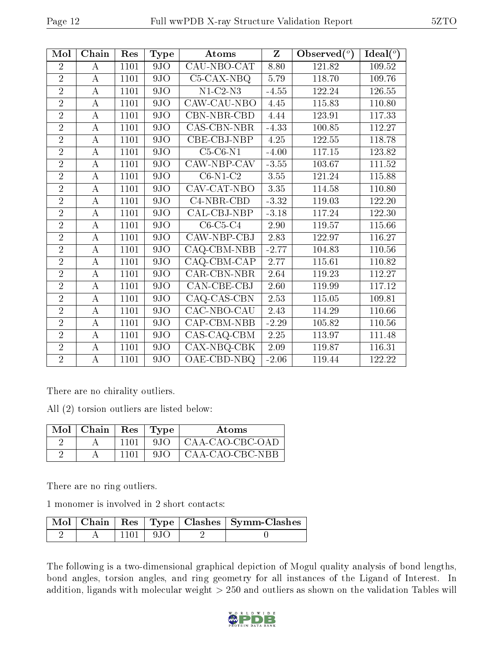| Mol            | Chain    | Res  | <b>Type</b> | Atoms                            | $\mathbf{Z}$ | Observed $(°)$      | Ideal $(°)$ |
|----------------|----------|------|-------------|----------------------------------|--------------|---------------------|-------------|
| $\overline{2}$ | A        | 1101 | 9JO         | CAU-NBO-CAT                      | 8.80         | 121.82              | 109.52      |
| $\overline{2}$ | $\bf{A}$ | 1101 | 9JO         | $C5-CAX-NBQ$                     | 5.79         | 118.70              | 109.76      |
| $\overline{2}$ | $\bf{A}$ | 1101 | 9JO         | $N1-C2-N3$                       | $-4.55$      | 122.24              | 126.55      |
| $\overline{2}$ | $\bf{A}$ | 1101 | 9JO         | CAW-CAU-NBO                      | 4.45         | 115.83              | 110.80      |
| $\overline{2}$ | $\bf{A}$ | 1101 | 9JO         | CBN-NBR-CBD                      | 4.44         | 123.91              | 117.33      |
| $\overline{2}$ | $\bf{A}$ | 1101 | 9JO         | CAS-CBN-NBR                      | $-4.33$      | $100.\overline{85}$ | 112.27      |
| $\overline{2}$ | $\bf{A}$ | 1101 | 9JO         | CBE-CBJ-NBP                      | 4.25         | 122.55              | 118.78      |
| $\overline{2}$ | $\bf{A}$ | 1101 | 9JO         | $C5-C6-N1$                       | $-4.00$      | 117.15              | 123.82      |
| $\overline{2}$ | $\bf{A}$ | 1101 | 9JO         | CAW-NBP-CAV                      | $-3.55$      | 103.67              | 111.52      |
| $\overline{2}$ | $\bf{A}$ | 1101 | 9JO         | $C6-N1-C2$                       | 3.55         | 121.24              | 115.88      |
| $\overline{2}$ | $\bf{A}$ | 1101 | 9JO         | CAV-CAT-NBO                      | 3.35         | 114.58              | 110.80      |
| $\overline{2}$ | $\bf{A}$ | 1101 | 9JO         | C4-NBR-CBD                       | $-3.32$      | 119.03              | 122.20      |
| $\overline{2}$ | $\bf{A}$ | 1101 | 9JO         | CAL-CBJ-NBP                      | $-3.18$      | 117.24              | 122.30      |
| $\overline{2}$ | $\bf{A}$ | 1101 | 9JO         | $C6-C5-C4$                       | 2.90         | 119.57              | 115.66      |
| $\overline{2}$ | $\bf{A}$ | 1101 | 9JO         | CAW-NBP-CBJ                      | 2.83         | 122.97              | 116.27      |
| $\overline{2}$ | $\bf{A}$ | 1101 | 9JO         | $CAQ$ - $CBM$ - $\overline{NBB}$ | $-2.77$      | 104.83              | 110.56      |
| $\overline{2}$ | $\bf{A}$ | 1101 | 9JO         | CAQ-CBM-CAP                      | 2.77         | 115.61              | 110.82      |
| $\overline{2}$ | $\bf{A}$ | 1101 | 9JO         | <b>CAR-CBN-NBR</b>               | 2.64         | 119.23              | 112.27      |
| $\overline{2}$ | $\bf{A}$ | 1101 | 9JO         | CAN-CBE-CBJ                      | 2.60         | 119.99              | 117.12      |
| $\overline{2}$ | $\bf{A}$ | 1101 | 9JO         | CAQ-CAS-CBN                      | 2.53         | 115.05              | 109.81      |
| $\overline{2}$ | $\bf{A}$ | 1101 | 9JO         | CAC-NBO-CAU                      | 2.43         | 114.29              | 110.66      |
| $\overline{2}$ | A        | 1101 | 9JO         | CAP-CBM-NBB                      | $-2.29$      | 105.82              | 110.56      |
| $\overline{2}$ | $\bf{A}$ | 1101 | 9JO         | CAS-CAQ-CBM                      | 2.25         | 113.97              | 111.48      |
| $\overline{2}$ | $\bf{A}$ | 1101 | 9JO         | CAX-NBQ-CBK                      | 2.09         | 119.87              | 116.31      |
| $\overline{2}$ | $\bf{A}$ | 1101 | 9JO         | OAE-CBD-NBQ                      | $-2.06$      | 119.44              | 122.22      |

There are no chirality outliers.

All (2) torsion outliers are listed below:

| $Mol$   Chain | Res  | Type | Atoms           |
|---------------|------|------|-----------------|
|               | 1101 | 9.IO | CAA-CAO-CBC-OAD |
|               |      | 9.IO | CAA-CAO-CBC-NBB |

There are no ring outliers.

1 monomer is involved in 2 short contacts:

|  |             | Mol   Chain   Res   Type   Clashes   Symm-Clashes |
|--|-------------|---------------------------------------------------|
|  | $1101 + 9J$ |                                                   |

The following is a two-dimensional graphical depiction of Mogul quality analysis of bond lengths, bond angles, torsion angles, and ring geometry for all instances of the Ligand of Interest. In addition, ligands with molecular weight  $> 250$  and outliers as shown on the validation Tables will

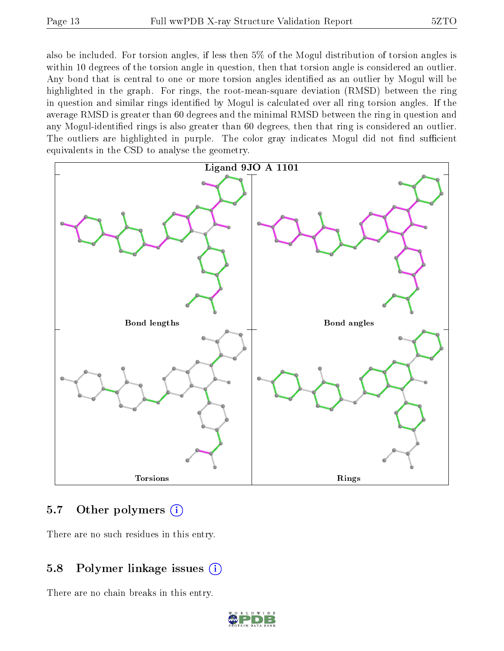also be included. For torsion angles, if less then 5% of the Mogul distribution of torsion angles is within 10 degrees of the torsion angle in question, then that torsion angle is considered an outlier. Any bond that is central to one or more torsion angles identified as an outlier by Mogul will be highlighted in the graph. For rings, the root-mean-square deviation (RMSD) between the ring in question and similar rings identified by Mogul is calculated over all ring torsion angles. If the average RMSD is greater than 60 degrees and the minimal RMSD between the ring in question and any Mogul-identified rings is also greater than 60 degrees, then that ring is considered an outlier. The outliers are highlighted in purple. The color gray indicates Mogul did not find sufficient equivalents in the CSD to analyse the geometry.



#### 5.7 [O](https://www.wwpdb.org/validation/2017/XrayValidationReportHelp#nonstandard_residues_and_ligands)ther polymers (i)

There are no such residues in this entry.

### 5.8 Polymer linkage issues (i)

There are no chain breaks in this entry.

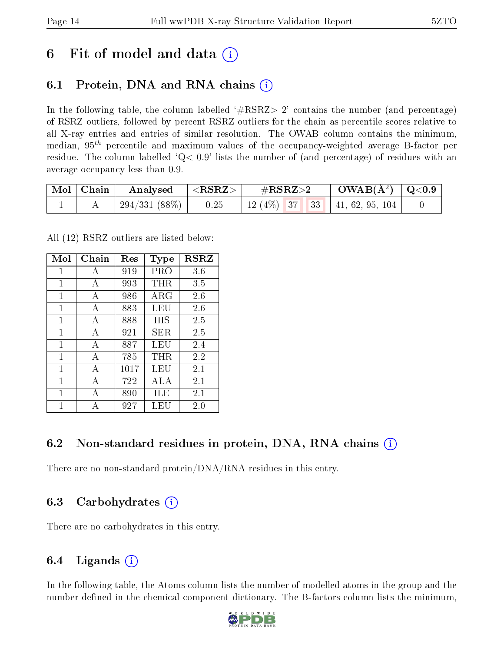## 6 Fit of model and data  $\circ$

## 6.1 Protein, DNA and RNA chains (i)

In the following table, the column labelled  $#RSRZ>2'$  contains the number (and percentage) of RSRZ outliers, followed by percent RSRZ outliers for the chain as percentile scores relative to all X-ray entries and entries of similar resolution. The OWAB column contains the minimum, median,  $95<sup>th</sup>$  percentile and maximum values of the occupancy-weighted average B-factor per residue. The column labelled  $Q< 0.9$  lists the number of (and percentage) of residues with an average occupancy less than 0.9.

| Mol   Chain | Analysed      | $ \langle \mathrm{RSRZ}\rangle $ | $\rm \#RSRZ{>}2$ |  |  | $\text{OWAB}(\text{A}^2) \mid \text{Q}<0.9$ |  |
|-------------|---------------|----------------------------------|------------------|--|--|---------------------------------------------|--|
|             | 294/331 (88%) | $\sim 0.25$                      |                  |  |  | 12 (4\%)   37   33   41, 62, 95, 104        |  |

All (12) RSRZ outliers are listed below:

| Mol | Chain        | Res  | Type       | <b>RSRZ</b> |
|-----|--------------|------|------------|-------------|
| 1   | A            | 919  | PRO        | 3.6         |
| 1   | A            | 993  | $\rm THR$  | 3.5         |
| 1   | A            | 986  | $\rm{ARG}$ | 2.6         |
| 1   | А            | 883  | LEU        | 2.6         |
| 1   | A            | 888  | НIS        | 2.5         |
| 1   | А            | 921  | SER        | 2.5         |
| 1   | $\mathbf{A}$ | 887  | LEU        | 2.4         |
| 1   | А            | 785  | THR        | 2.2         |
| 1   | А            | 1017 | LEU        | 2.1         |
| 1   | А            | 722  | ALA        | 2.1         |
| 1   | A            | 890  | ЩE         | 2.1         |
| 1   |              | 927  | LEU        | 2.0         |

### 6.2 Non-standard residues in protein, DNA, RNA chains  $(i)$

There are no non-standard protein/DNA/RNA residues in this entry.

### 6.3 Carbohydrates (i)

There are no carbohydrates in this entry.

## 6.4 Ligands  $(i)$

In the following table, the Atoms column lists the number of modelled atoms in the group and the number defined in the chemical component dictionary. The B-factors column lists the minimum,